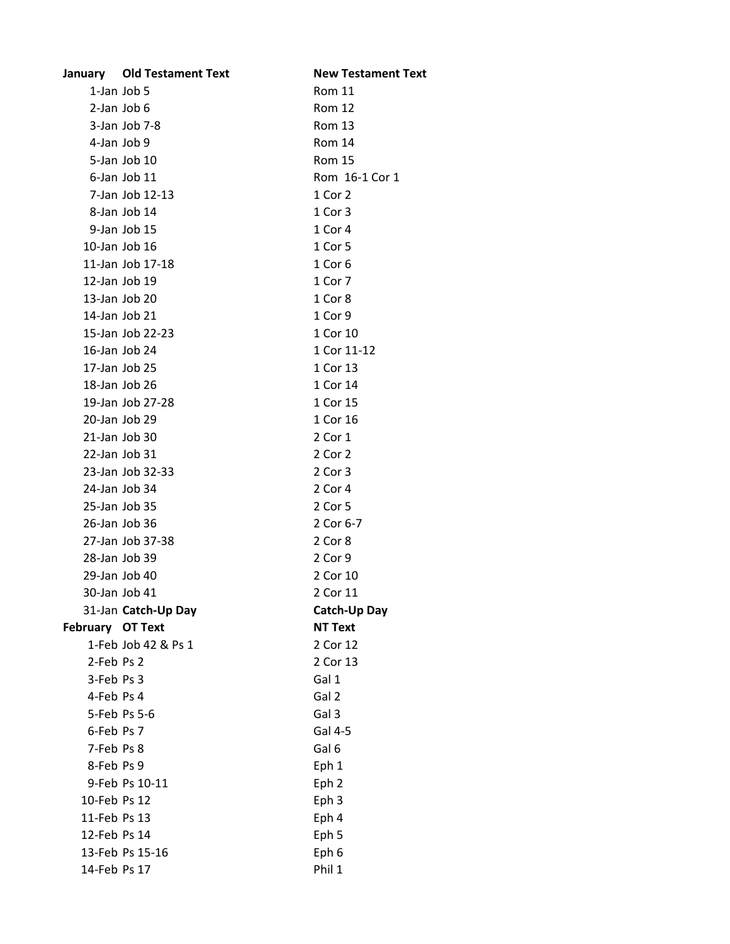|                  | January Old Testament Text | <b>New Testament Text</b> |
|------------------|----------------------------|---------------------------|
|                  | 1-Jan Job 5                | <b>Rom 11</b>             |
|                  | 2-Jan Job 6                | <b>Rom 12</b>             |
|                  | 3-Jan Job 7-8              | <b>Rom 13</b>             |
| 4-Jan Job 9      |                            | Rom 14                    |
|                  | 5-Jan Job 10               | <b>Rom 15</b>             |
|                  | 6-Jan Job 11               | Rom 16-1 Cor 1            |
|                  | 7-Jan Job 12-13            | 1 Cor 2                   |
|                  | 8-Jan Job 14               | 1 Cor 3                   |
|                  | 9-Jan Job 15               | 1 Cor 4                   |
|                  | 10-Jan Job 16              | 1 Cor 5                   |
|                  | 11-Jan Job 17-18           | 1 Cor 6                   |
|                  | 12-Jan Job 19              | 1 Cor 7                   |
|                  | 13-Jan Job 20              | 1 Cor 8                   |
|                  | 14-Jan Job 21              | 1 Cor 9                   |
|                  | 15-Jan Job 22-23           | 1 Cor 10                  |
|                  | 16-Jan Job 24              | 1 Cor 11-12               |
|                  | 17-Jan Job 25              | 1 Cor 13                  |
|                  | 18-Jan Job 26              | 1 Cor 14                  |
|                  | 19-Jan Job 27-28           | 1 Cor 15                  |
|                  | 20-Jan Job 29              | 1 Cor 16                  |
|                  | 21-Jan Job 30              | 2 Cor 1                   |
|                  | $22$ -Jan Job $31$         | 2 Cor 2                   |
|                  | 23-Jan Job 32-33           | 2 Cor 3                   |
|                  | 24-Jan Job 34              | 2 Cor 4                   |
|                  | 25-Jan Job 35              | 2 Cor 5                   |
|                  | 26-Jan Job 36              | 2 Cor 6-7                 |
|                  | 27-Jan Job 37-38           | 2 Cor 8                   |
|                  | 28-Jan Job 39              | 2 Cor 9                   |
|                  | 29-Jan Job 40              | 2 Cor 10                  |
|                  | 30-Jan Job 41              | 2 Cor 11                  |
|                  | 31-Jan Catch-Up Day        | Catch-Up Day              |
| February OT Text |                            | <b>NT Text</b>            |
|                  | 1-Feb Job 42 & Ps 1        | 2 Cor 12                  |
| 2-Feb Ps 2       |                            | 2 Cor 13                  |
| 3-Feb Ps 3       |                            | Gal 1                     |
| 4-Feb Ps 4       |                            | Gal 2                     |
|                  | 5-Feb Ps 5-6               | Gal 3                     |
| 6-Feb Ps 7       |                            | Gal 4-5                   |
| 7-Feb Ps 8       |                            | Gal 6                     |
| 8-Feb Ps 9       |                            | Eph 1                     |
|                  | 9-Feb Ps 10-11             | Eph <sub>2</sub>          |
| 10-Feb Ps 12     |                            | Eph 3                     |
| 11-Feb Ps 13     |                            | Eph 4                     |
| 12-Feb Ps 14     |                            | Eph 5                     |
|                  | 13-Feb Ps 15-16            | Eph 6                     |
| 14-Feb Ps 17     |                            | Phil 1                    |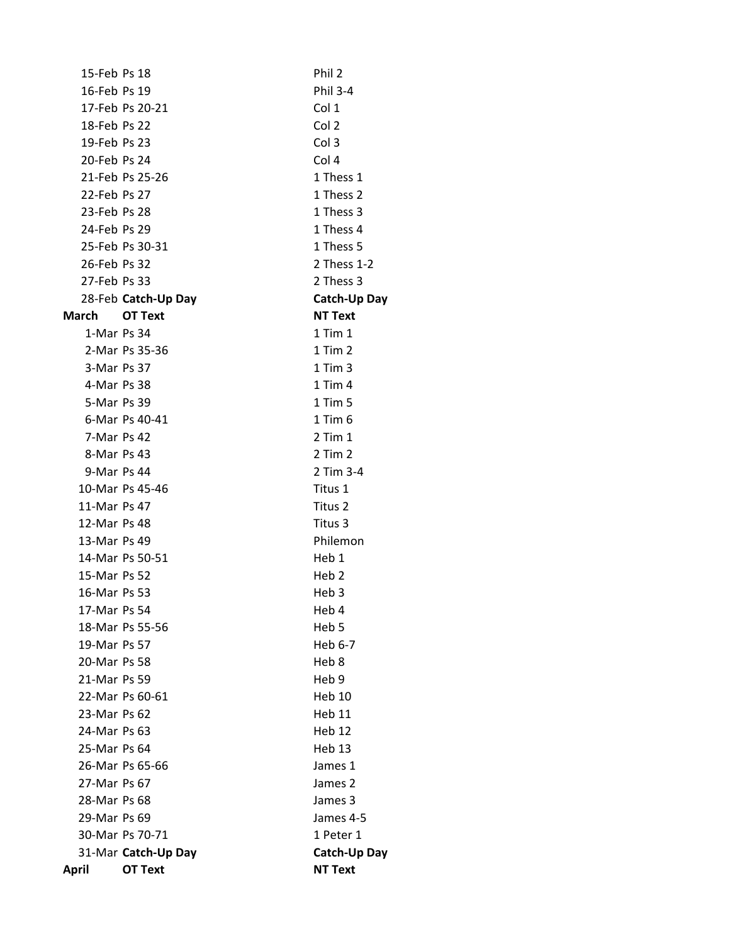| 15-Feb Ps 18 |                     | Phil 2            |
|--------------|---------------------|-------------------|
| 16-Feb Ps 19 |                     | <b>Phil 3-4</b>   |
|              | 17-Feb Ps 20-21     | Col 1             |
| 18-Feb Ps 22 |                     | Col 2             |
|              |                     |                   |
| 19-Feb Ps 23 |                     | Col 3             |
| 20-Feb Ps 24 |                     | Col 4             |
|              | 21-Feb Ps 25-26     | 1 Thess 1         |
| 22-Feb Ps 27 |                     | 1 Thess 2         |
| 23-Feb Ps 28 |                     | 1 Thess 3         |
| 24-Feb Ps 29 |                     | 1 Thess 4         |
|              | 25-Feb Ps 30-31     | 1 Thess 5         |
| 26-Feb Ps 32 |                     | 2 Thess 1-2       |
| 27-Feb Ps 33 |                     | 2 Thess 3         |
|              | 28-Feb Catch-Up Day | Catch-Up Day      |
| March        | OT Text             | <b>NT Text</b>    |
| 1-Mar Ps 34  |                     | $1$ Tim $1$       |
|              | 2-Mar Ps 35-36      | $1$ Tim $2$       |
| 3-Mar Ps 37  |                     | $1$ Tim $3$       |
| 4-Mar Ps 38  |                     | $1$ Tim $4$       |
| 5-Mar Ps 39  |                     | $1$ Tim $5$       |
|              | 6-Mar Ps 40-41      | $1$ Tim $6$       |
| 7-Mar Ps 42  |                     | $2$ Tim $1$       |
| 8-Mar Ps 43  |                     | $2$ Tim $2$       |
| 9-Mar Ps 44  |                     | 2 Tim 3-4         |
|              | 10-Mar Ps 45-46     | Titus 1           |
| 11-Mar Ps 47 |                     | Titus 2           |
| 12-Mar Ps 48 |                     | Titus 3           |
| 13-Mar Ps 49 |                     | Philemon          |
|              | 14-Mar Ps 50-51     | Heb 1             |
| 15-Mar Ps 52 |                     | Heb <sub>2</sub>  |
| 16-Mar Ps 53 |                     | Heb 3             |
| 17-Mar Ps 54 |                     | Heb 4             |
|              | 18-Mar Ps 55-56     | Heb <sub>5</sub>  |
| 19-Mar Ps 57 |                     | Heb 6-7           |
| 20-Mar Ps 58 |                     | Heb 8             |
| 21-Mar Ps 59 |                     | Heb 9             |
|              | 22-Mar Ps 60-61     | <b>Heb 10</b>     |
| 23-Mar Ps 62 |                     | Heb <sub>11</sub> |
| 24-Mar Ps 63 |                     | Heb <sub>12</sub> |
| 25-Mar Ps 64 |                     | Heb <sub>13</sub> |
|              | 26-Mar Ps 65-66     | James 1           |
| 27-Mar Ps 67 |                     | James 2           |
| 28-Mar Ps 68 |                     | James 3           |
| 29-Mar Ps 69 |                     | James 4-5         |
|              | 30-Mar Ps 70-71     | 1 Peter 1         |
|              | 31-Mar Catch-Up Day | Catch-Up Day      |
| <b>April</b> | <b>OT Text</b>      | <b>NT Text</b>    |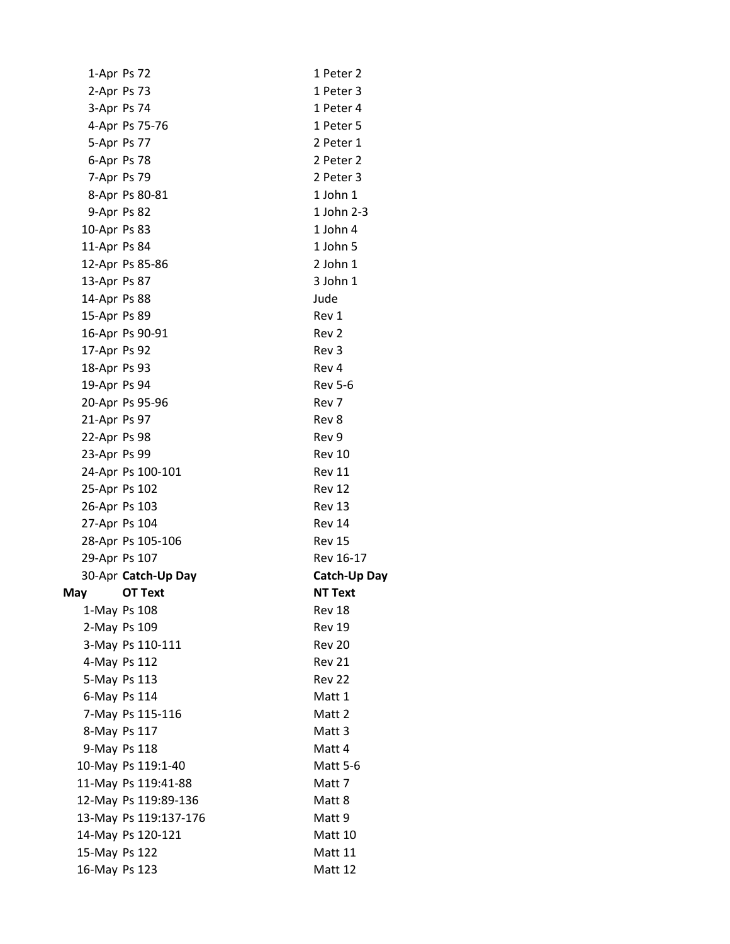|               | 1-Apr Ps 72           | 1 Peter 2           |
|---------------|-----------------------|---------------------|
|               | 2-Apr Ps 73           | 1 Peter 3           |
|               | 3-Apr Ps 74           | 1 Peter 4           |
|               | 4-Apr Ps 75-76        | 1 Peter 5           |
|               | 5-Apr Ps 77           | 2 Peter 1           |
|               | 6-Apr Ps 78           | 2 Peter 2           |
|               | 7-Apr Ps 79           | 2 Peter 3           |
|               | 8-Apr Ps 80-81        | 1 John 1            |
| 9-Apr Ps 82   |                       | 1 John 2-3          |
| 10-Apr Ps 83  |                       | 1 John 4            |
| 11-Apr Ps 84  |                       | 1 John 5            |
|               | 12-Apr Ps 85-86       | 2 John 1            |
| 13-Apr Ps 87  |                       | 3 John 1            |
| 14-Apr Ps 88  |                       | Jude                |
| 15-Apr Ps 89  |                       | Rev 1               |
|               | 16-Apr Ps 90-91       | Rev 2               |
| 17-Apr Ps 92  |                       | Rev 3               |
| 18-Apr Ps 93  |                       | Rev 4               |
| 19-Apr Ps 94  |                       | <b>Rev 5-6</b>      |
|               | 20-Apr Ps 95-96       | Rev 7               |
| 21-Apr Ps 97  |                       | Rev 8               |
| 22-Apr Ps 98  |                       | Rev 9               |
| 23-Apr Ps 99  |                       | <b>Rev 10</b>       |
|               | 24-Apr Ps 100-101     | Rev 11              |
|               | 25-Apr Ps 102         | <b>Rev 12</b>       |
| 26-Apr Ps 103 |                       | <b>Rev 13</b>       |
|               | 27-Apr Ps 104         | <b>Rev 14</b>       |
|               | 28-Apr Ps 105-106     | <b>Rev 15</b>       |
|               | 29-Apr Ps 107         | Rev 16-17           |
|               | 30-Apr Catch-Up Day   | <b>Catch-Up Day</b> |
| May           | <b>OT Text</b>        | <b>NT Text</b>      |
|               | 1-May Ps 108          | Rev 18              |
|               | 2-May Ps 109          | <b>Rev 19</b>       |
|               | 3-May Ps 110-111      | <b>Rev 20</b>       |
|               | 4-May Ps 112          | Rev 21              |
|               | 5-May Ps 113          | <b>Rev 22</b>       |
|               | 6-May Ps 114          | Matt 1              |
|               | 7-May Ps 115-116      | Matt 2              |
|               | 8-May Ps 117          | Matt 3              |
|               | 9-May Ps 118          | Matt 4              |
|               | 10-May Ps 119:1-40    | <b>Matt 5-6</b>     |
|               | 11-May Ps 119:41-88   | Matt 7              |
|               | 12-May Ps 119:89-136  | Matt 8              |
|               | 13-May Ps 119:137-176 | Matt 9              |
|               | 14-May Ps 120-121     | Matt 10             |
| 15-May Ps 122 |                       |                     |
| 16-May Ps 123 |                       | Matt 11<br>Matt 12  |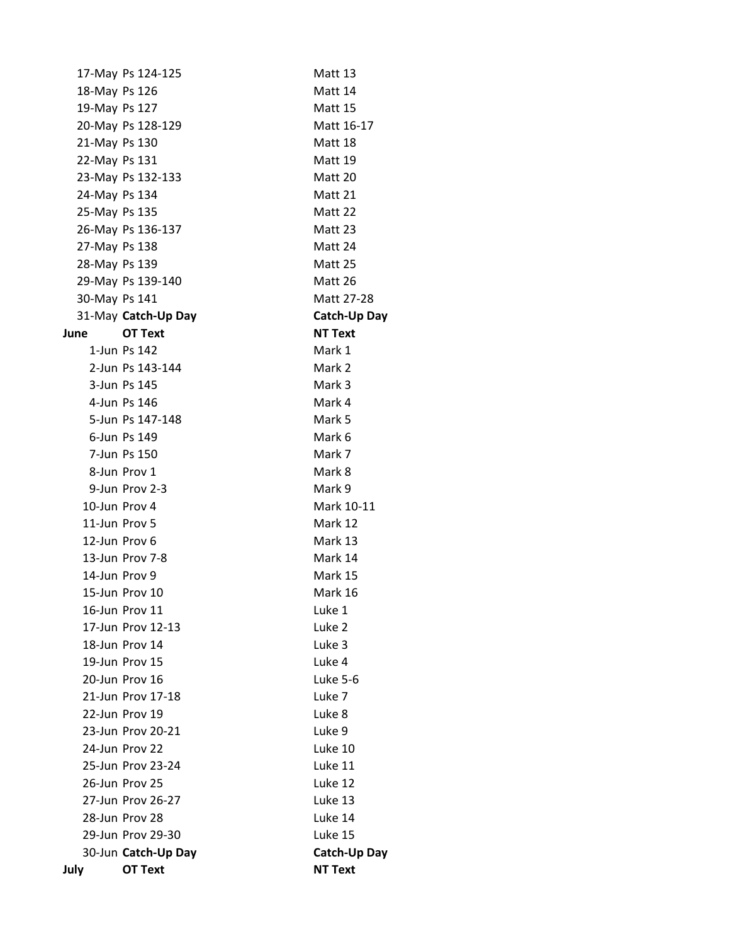| July          | OT Text             | <b>NT Text</b>      |
|---------------|---------------------|---------------------|
|               | 30-Jun Catch-Up Day | <b>Catch-Up Day</b> |
|               | 29-Jun Prov 29-30   | Luke 15             |
|               | 28-Jun Prov 28      | Luke 14             |
|               | 27-Jun Prov 26-27   | Luke 13             |
|               | 26-Jun Prov 25      | Luke 12             |
|               | 25-Jun Prov 23-24   | Luke 11             |
|               | 24-Jun Prov 22      | Luke 10             |
|               | 23-Jun Prov 20-21   | Luke 9              |
|               | 22-Jun Prov 19      | Luke 8              |
|               | 21-Jun Prov 17-18   | Luke 7              |
|               | 20-Jun Prov 16      | Luke 5-6            |
|               | 19-Jun Prov 15      | Luke 4              |
|               | 18-Jun Prov 14      | Luke 3              |
|               | 17-Jun Prov 12-13   | Luke 2              |
|               | 16-Jun Prov 11      | Luke 1              |
|               | 15-Jun Prov 10      | Mark 16             |
|               | 14-Jun Prov 9       | Mark 15             |
|               | 13-Jun Prov 7-8     | Mark 14             |
|               | 12-Jun Prov 6       | Mark 13             |
|               | 11-Jun Prov 5       | Mark 12             |
|               | 10-Jun Prov 4       | Mark 10-11          |
|               | 9-Jun Prov 2-3      | Mark 9              |
|               | 8-Jun Prov 1        | Mark 8              |
|               | 7-Jun Ps 150        | Mark 7              |
|               | 6-Jun Ps 149        | Mark 6              |
|               | 5-Jun Ps 147-148    | Mark 5              |
|               | 4-Jun Ps 146        | Mark 4              |
|               | 3-Jun Ps 145        | Mark 3              |
|               | 2-Jun Ps 143-144    | Mark 2              |
|               | 1-Jun Ps 142        | Mark 1              |
| June          | <b>OT Text</b>      | <b>NT Text</b>      |
|               | 31-May Catch-Up Day | <b>Catch-Up Day</b> |
| 30-May Ps 141 |                     | Matt 27-28          |
|               | 29-May Ps 139-140   | Matt 26             |
| 28-May Ps 139 |                     | Matt 25             |
| 27-May Ps 138 |                     | Matt 24             |
|               | 26-May Ps 136-137   | Matt 23             |
| 25-May Ps 135 |                     | Matt 22             |
| 24-May Ps 134 |                     | Matt 21             |
|               | 23-May Ps 132-133   | Matt 20             |
| 22-May Ps 131 |                     | Matt 19             |
| 21-May Ps 130 |                     | Matt 18             |
|               | 20-May Ps 128-129   | Matt 16-17          |
| 19-May Ps 127 |                     | Matt 15             |
| 18-May Ps 126 |                     | Matt 14             |
|               | 17-May Ps 124-125   | Matt 13             |
|               |                     |                     |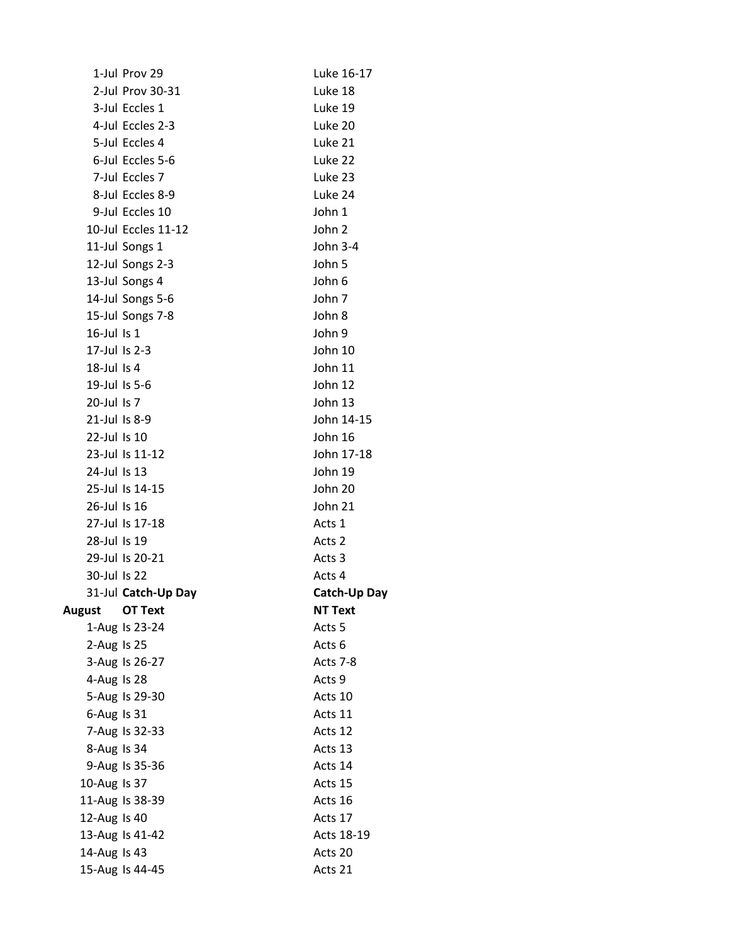|                  | 1-Jul Prov 29       | Luke 16-17          |
|------------------|---------------------|---------------------|
|                  | 2-Jul Prov 30-31    | Luke 18             |
|                  | 3-Jul Eccles 1      | Luke 19             |
|                  | 4-Jul Eccles 2-3    | Luke 20             |
|                  | 5-Jul Eccles 4      | Luke 21             |
|                  | 6-Jul Eccles 5-6    | Luke 22             |
|                  | 7-Jul Eccles 7      | Luke 23             |
|                  | 8-Jul Eccles 8-9    | Luke 24             |
|                  | 9-Jul Eccles 10     | John 1              |
|                  | 10-Jul Eccles 11-12 | John 2              |
|                  | 11-Jul Songs 1      | John 3-4            |
|                  | 12-Jul Songs 2-3    | John 5              |
|                  | 13-Jul Songs 4      | John 6              |
|                  | 14-Jul Songs 5-6    | John 7              |
|                  | 15-Jul Songs 7-8    | John 8              |
| $16$ -Jul Is $1$ |                     | John 9              |
| 17-Jul Is 2-3    |                     | John 10             |
| 18-Jul Is 4      |                     | John 11             |
| 19-Jul Is 5-6    |                     | John 12             |
| 20-Jul Is 7      |                     | John 13             |
| 21-Jul Is 8-9    |                     | John 14-15          |
| 22-Jul Is 10     |                     | John 16             |
|                  | 23-Jul Is 11-12     | John 17-18          |
| 24-Jul Is 13     |                     | John 19             |
|                  | 25-Jul Is 14-15     | John 20             |
| 26-Jul Is 16     |                     | John 21             |
|                  | 27-Jul Is 17-18     | Acts 1              |
| 28-Jul Is 19     |                     | Acts 2              |
|                  | 29-Jul Is 20-21     | Acts 3              |
| 30-Jul Is 22     |                     | Acts 4              |
|                  | 31-Jul Catch-Up Day | <b>Catch-Up Day</b> |
| August           | <b>OT Text</b>      | NT Text             |
|                  | 1-Aug Is 23-24      | Acts <sub>5</sub>   |
| 2-Aug Is 25      |                     | Acts 6              |
|                  | 3-Aug Is 26-27      | Acts 7-8            |
| 4-Aug Is 28      |                     | Acts 9              |
|                  | 5-Aug Is 29-30      | Acts 10             |
| 6-Aug Is 31      |                     | Acts 11             |
|                  | 7-Aug Is 32-33      | Acts 12             |
| 8-Aug Is 34      |                     | Acts 13             |
|                  | 9-Aug Is 35-36      | Acts 14             |
| 10-Aug Is 37     |                     | Acts 15             |
|                  | 11-Aug Is 38-39     | Acts 16             |
| 12-Aug Is 40     |                     | Acts 17             |
|                  | 13-Aug Is 41-42     | Acts 18-19          |
| 14-Aug Is 43     |                     | Acts 20             |
|                  | 15-Aug Is 44-45     | Acts 21             |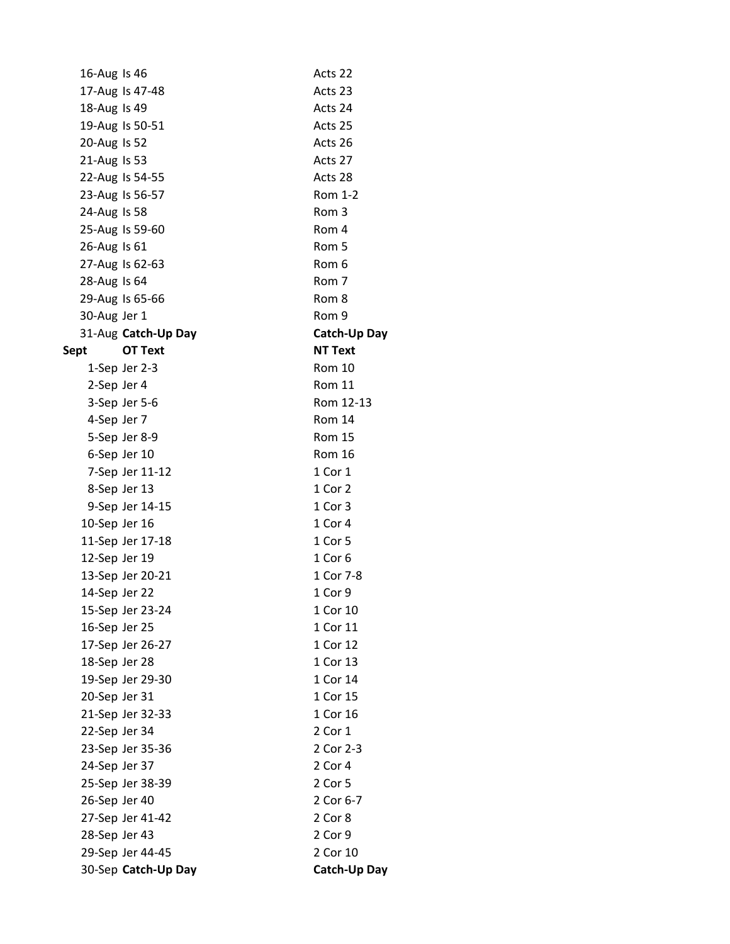| 16-Aug Is 46  |                     | Acts 22             |
|---------------|---------------------|---------------------|
|               | 17-Aug Is 47-48     | Acts 23             |
| 18-Aug Is 49  |                     | Acts 24             |
|               | 19-Aug Is 50-51     | Acts 25             |
| 20-Aug Is 52  |                     | Acts 26             |
| 21-Aug Is 53  |                     | Acts 27             |
|               | 22-Aug Is 54-55     | Acts 28             |
|               | 23-Aug Is 56-57     | Rom 1-2             |
| 24-Aug Is 58  |                     | Rom 3               |
|               | 25-Aug Is 59-60     | Rom 4               |
| 26-Aug Is 61  |                     | Rom 5               |
|               | 27-Aug Is 62-63     | Rom 6               |
| 28-Aug Is 64  |                     | Rom 7               |
|               | 29-Aug Is 65-66     | Rom 8               |
| 30-Aug Jer 1  |                     | Rom 9               |
|               | 31-Aug Catch-Up Day | <b>Catch-Up Day</b> |
| Sept          | <b>OT Text</b>      | <b>NT Text</b>      |
|               | 1-Sep Jer 2-3       | <b>Rom 10</b>       |
| 2-Sep Jer 4   |                     | <b>Rom 11</b>       |
|               | 3-Sep Jer 5-6       | Rom 12-13           |
| 4-Sep Jer 7   |                     | Rom 14              |
|               | 5-Sep Jer 8-9       | <b>Rom 15</b>       |
|               | 6-Sep Jer 10        | <b>Rom 16</b>       |
|               | 7-Sep Jer 11-12     | 1 Cor 1             |
|               | 8-Sep Jer 13        | 1 Cor 2             |
|               | 9-Sep Jer 14-15     | 1 Cor 3             |
| 10-Sep Jer 16 |                     | 1 Cor 4             |
|               | 11-Sep Jer 17-18    | 1 Cor 5             |
| 12-Sep Jer 19 |                     | 1 Cor 6             |
|               | 13-Sep Jer 20-21    | 1 Cor 7-8           |
| 14-Sep Jer 22 |                     | 1 Cor 9             |
|               | 15-Sep Jer 23-24    | 1 Cor 10            |
| 16-Sep Jer 25 |                     | 1 Cor 11            |
|               | 17-Sep Jer 26-27    | 1 Cor 12            |
| 18-Sep Jer 28 |                     | 1 Cor 13            |
|               | 19-Sep Jer 29-30    | 1 Cor 14            |
| 20-Sep Jer 31 |                     | 1 Cor 15            |
|               | 21-Sep Jer 32-33    | 1 Cor 16            |
| 22-Sep Jer 34 |                     | 2 Cor 1             |
|               | 23-Sep Jer 35-36    | 2 Cor 2-3           |
| 24-Sep Jer 37 |                     | 2 Cor 4             |
|               | 25-Sep Jer 38-39    | 2 Cor 5             |
| 26-Sep Jer 40 |                     | 2 Cor 6-7           |
|               | 27-Sep Jer 41-42    | 2 Cor 8             |
| 28-Sep Jer 43 |                     | 2 Cor 9             |
|               | 29-Sep Jer 44-45    | 2 Cor 10            |
|               | 30-Sep Catch-Up Day | Catch-Up Day        |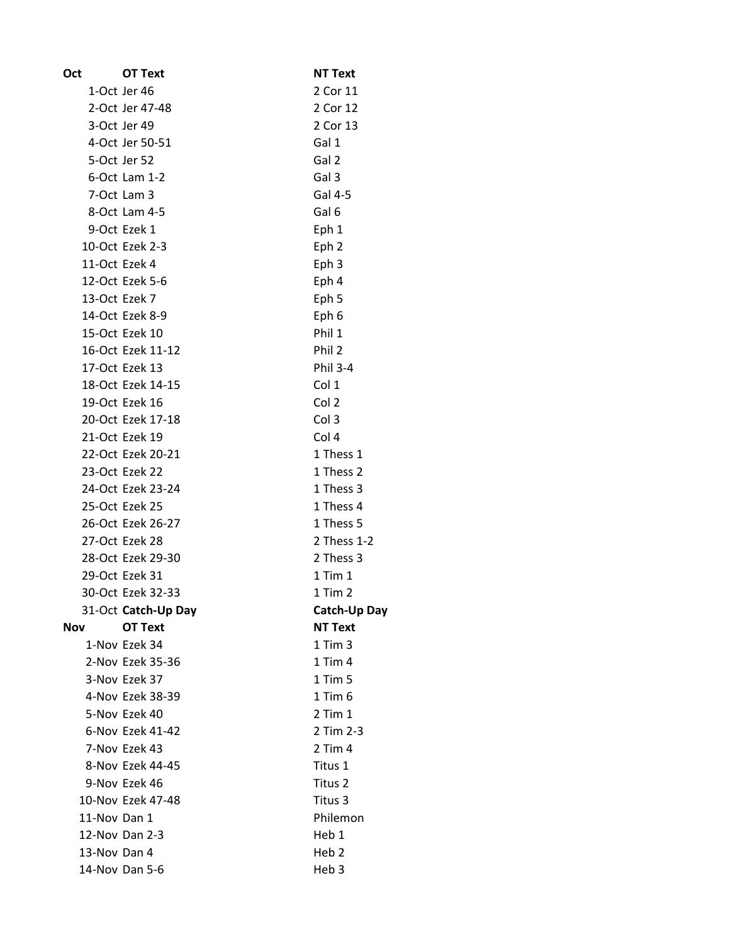| Oct           | <b>OT Text</b>      | <b>NT Text</b>   |
|---------------|---------------------|------------------|
|               | 1-Oct Jer 46        | 2 Cor 11         |
|               | 2-Oct Jer 47-48     | 2 Cor 12         |
|               | 3-Oct Jer 49        | 2 Cor 13         |
|               | 4-Oct Jer 50-51     | Gal 1            |
|               | 5-Oct Jer 52        | Gal 2            |
|               | 6-Oct Lam 1-2       | Gal 3            |
|               | 7-Oct Lam 3         | Gal 4-5          |
|               | 8-Oct Lam 4-5       | Gal 6            |
|               | 9-Oct Ezek 1        | Eph 1            |
|               | 10-Oct Ezek 2-3     | Eph <sub>2</sub> |
| 11-Oct Ezek 4 |                     | Eph 3            |
|               | 12-Oct Ezek 5-6     | Eph 4            |
| 13-Oct Ezek 7 |                     | Eph 5            |
|               | 14-Oct Ezek 8-9     | Eph 6            |
|               | 15-Oct Ezek 10      | Phil 1           |
|               | 16-Oct Ezek 11-12   | Phil 2           |
|               | 17-Oct Ezek 13      | <b>Phil 3-4</b>  |
|               | 18-Oct Ezek 14-15   | Col 1            |
|               | 19-Oct Ezek 16      | Col 2            |
|               | 20-Oct Ezek 17-18   | Col 3            |
|               | 21-Oct Ezek 19      | Col 4            |
|               | 22-Oct Ezek 20-21   | 1 Thess 1        |
|               | 23-Oct Ezek 22      | 1 Thess 2        |
|               | 24-Oct Ezek 23-24   | 1 Thess 3        |
|               | 25-Oct Ezek 25      | 1 Thess 4        |
|               | 26-Oct Ezek 26-27   | 1 Thess 5        |
|               | 27-Oct Ezek 28      | 2 Thess 1-2      |
|               | 28-Oct Ezek 29-30   | 2 Thess 3        |
|               | 29-Oct Ezek 31      | $1$ Tim $1$      |
|               | 30-Oct Ezek 32-33   | $1$ Tim $2$      |
|               | 31-Oct Catch-Up Day | Catch-Up Day     |
| Nov           | <b>OT Text</b>      | <b>NT Text</b>   |
|               | 1-Nov Ezek 34       | $1$ Tim $3$      |
|               | 2-Nov Ezek 35-36    | 1 Tim 4          |
|               | 3-Nov Ezek 37       | $1$ Tim $5$      |
|               | 4-Nov Ezek 38-39    | $1$ Tim $6$      |
|               | 5-Nov Ezek 40       | $2$ Tim $1$      |
|               | 6-Nov Ezek 41-42    | 2 Tim 2-3        |
|               | 7-Nov Ezek 43       | $2$ Tim $4$      |
|               | 8-Nov Ezek 44-45    | Titus 1          |
|               | 9-Nov Ezek 46       | Titus 2          |
|               | 10-Nov Ezek 47-48   | Titus 3          |
| 11-Nov Dan 1  |                     | Philemon         |
|               | 12-Nov Dan 2-3      | Heb 1            |
| 13-Nov Dan 4  |                     | Heb <sub>2</sub> |
|               | 14-Nov Dan 5-6      | Heb <sub>3</sub> |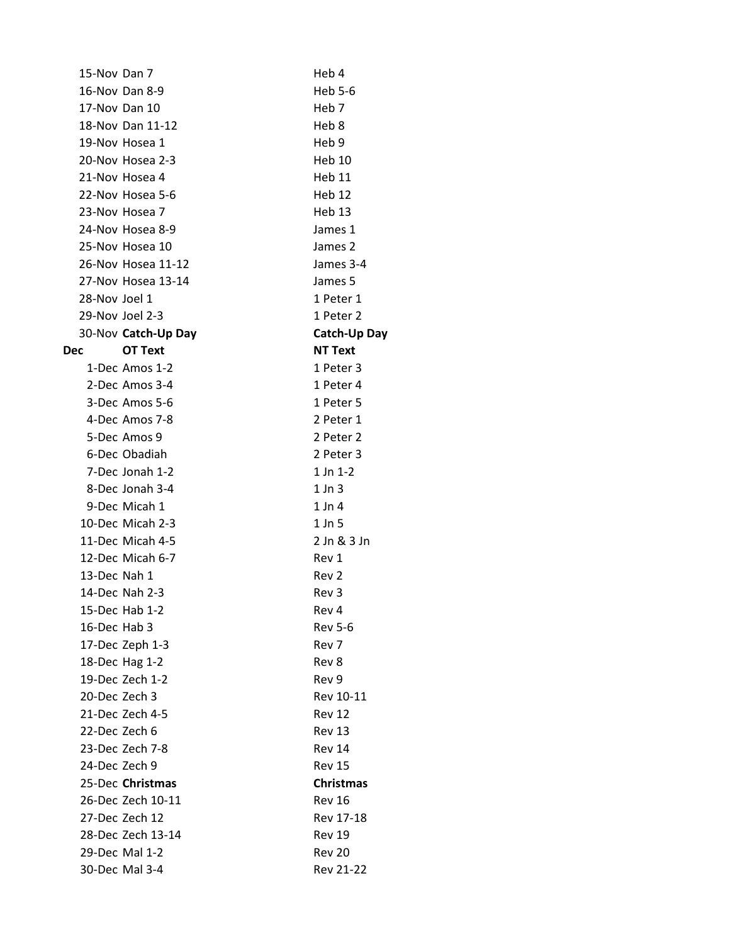| 15-Nov Dan 7  |                     | Heb 4             |
|---------------|---------------------|-------------------|
|               | 16-Nov Dan 8-9      | Heb 5-6           |
|               | 17-Nov Dan 10       | Heb 7             |
|               | 18-Nov Dan 11-12    | Heb 8             |
|               | 19-Nov Hosea 1      | Heb <sub>9</sub>  |
|               | 20-Nov Hosea 2-3    | Heb 10            |
|               | 21-Nov Hosea 4      | Heb 11            |
|               | 22-Nov Hosea 5-6    | Heb 12            |
|               | 23-Nov Hosea 7      | Heb <sub>13</sub> |
|               | 24-Nov Hosea 8-9    | James 1           |
|               | 25-Nov Hosea 10     | James 2           |
|               | 26-Nov Hosea 11-12  | James 3-4         |
|               | 27-Nov Hosea 13-14  | James 5           |
| 28-Nov Joel 1 |                     | 1 Peter 1         |
|               | 29-Nov Joel 2-3     | 1 Peter 2         |
|               | 30-Nov Catch-Up Day | Catch-Up Day      |
| Dec           | <b>OT Text</b>      | <b>NT Text</b>    |
|               | 1-Dec Amos 1-2      | 1 Peter 3         |
|               | 2-Dec Amos 3-4      | 1 Peter 4         |
|               | 3-Dec Amos 5-6      | 1 Peter 5         |
|               | 4-Dec Amos 7-8      | 2 Peter 1         |
|               | 5-Dec Amos 9        | 2 Peter 2         |
|               | 6-Dec Obadiah       | 2 Peter 3         |
|               | 7-Dec Jonah 1-2     | 1 Jn 1-2          |
|               | 8-Dec Jonah 3-4     | $1$ Jn $3$        |
|               | 9-Dec Micah 1       | $1$ Jn 4          |
|               | 10-Dec Micah 2-3    | $1$ Jn $5$        |
|               | 11-Dec Micah 4-5    | 2 Jn & 3 Jn       |
|               | 12-Dec Micah 6-7    | Rev 1             |
| 13-Dec Nah 1  |                     | Rev 2             |
|               | 14-Dec Nah 2-3      | Rev 3             |
|               | 15-Dec Hab 1-2      | Rev 4             |
| 16-Dec Hab 3  |                     | <b>Rev 5-6</b>    |
|               | 17-Dec Zeph 1-3     | Rev 7             |
|               | 18-Dec Hag 1-2      | Rev 8             |
|               | 19-Dec Zech 1-2     | Rev 9             |
| 20-Dec Zech 3 |                     | Rev 10-11         |
|               | 21-Dec Zech 4-5     | Rev 12            |
| 22-Dec Zech 6 |                     | <b>Rev 13</b>     |
|               | 23-Dec Zech 7-8     | Rev 14            |
| 24-Dec Zech 9 |                     | <b>Rev 15</b>     |
|               | 25-Dec Christmas    | <b>Christmas</b>  |
|               | 26-Dec Zech 10-11   | <b>Rev 16</b>     |
|               | 27-Dec Zech 12      | Rev 17-18         |
|               | 28-Dec Zech 13-14   | <b>Rev 19</b>     |
|               | 29-Dec Mal 1-2      | <b>Rev 20</b>     |
|               | 30-Dec Mal 3-4      | Rev 21-22         |